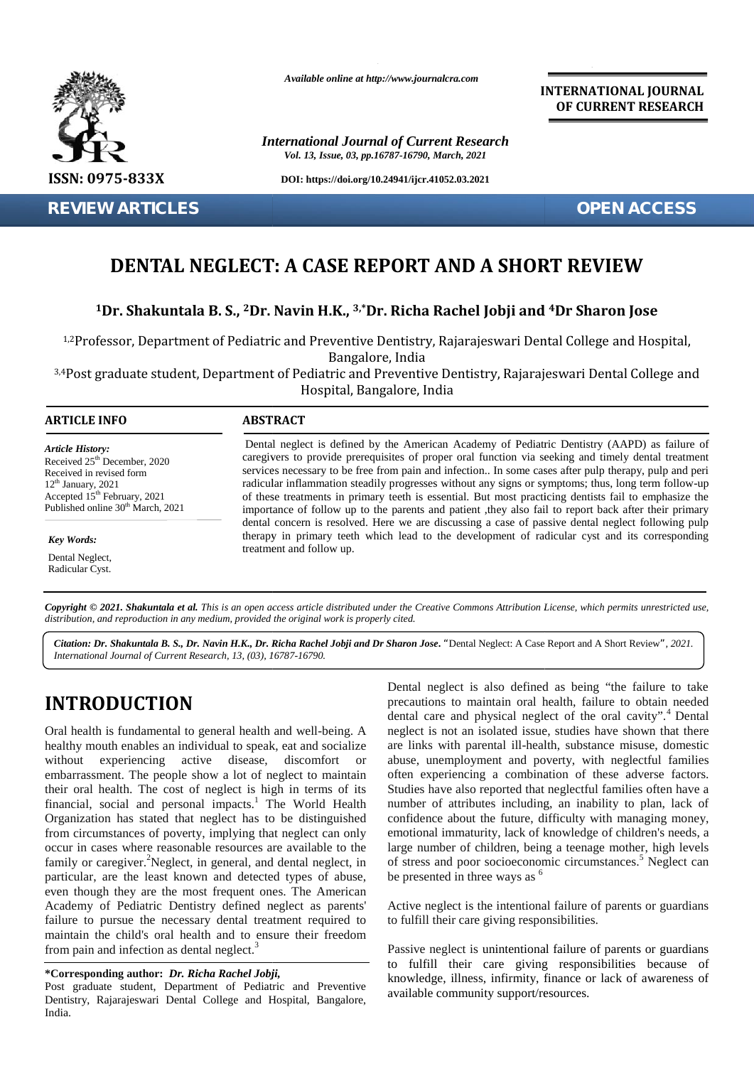

**REVIEW ARTICLES OPEN ACCESS**

*Available online at http://www.journalcra.com*

*International Journal of Current Research Vol. 13, Issue, 03, pp.16787-16790, March, 2021*

**DOI: https://doi.org/10.24941/ijcr.41052.03.2021**

**INTERNATIONAL JOURNAL OF CURRENT RESEARCH**

# **DENTAL NEGLECT: A CASE REPORT AND A SHORT REVIEW A CASE**

## $^{\text{1}}$ Dr. Shakuntala B. S., <sup>2</sup>Dr. Navin H.K., <sup>3,</sup>\*Dr. Richa Rachel Jobji and <sup>4</sup>Dr Sharon Jose

1,2Professor, Department of Pediatric and Preventive Dentistry, Rajarajeswari Dental College and Hospital, Bangalore, India

<sup>3,4</sup>Post graduate student, Department of Pediatric and Preventive Dentistry, Rajarajeswari Dental College and Hospital, Bangalore, India tessor, Department of Pediatric and Preventive<br>
Bangalo<br>
graduate student, Department of Pediatric and I<br>
Hospital, Bar<br> **INFO**<br> **ABSTRACT**<br>
Perices and interest is defined by<br>  $\frac{1000}{x}$ <br>  $\frac{1000}{x}$ <br>  $\frac{1000}{x}$ <br>  $\frac$ 

#### **ARTICLE INFO ABSTRACT ARTICLE ABSTRACT**

*Article History: Article History:* Received  $25<sup>th</sup>$  December, 2020 Received 25 December, 2020<br>Received in revised form  $12<sup>th</sup>$  January, 2021 Accepted  $15^{\text{th}}$  February, 2021  $\hspace{1.5cm}$  0 Published online  $30<sup>th</sup>$  March, 2021  $12<sup>th</sup>$  January, 2021 Accepted 15<sup>th</sup> February, 2021 **EVIEW ARTICLES**<br> **DENTAL NEGLECT:**<br>
<sup>1</sup>/1Dr. Shakuntala B. S., <sup>2</sup>Dr. N<br>
<sup>1,2</sup>Professor, Department of Pediatric<br>
<sup>3,4</sup>Post graduate student, Department<br> **ARTICLE INFO**<br> **ARTICLE INFO**<br> **ARTICLE INFO**<br> **ARTICLE INFO**<br> **AR** 

*Key Words:*

Dental Neglect, Radicular Cyst.

Dental neglect is defined by the American Academy of Pediatric Dentistry (AAPD) as failure of caregivers to provide prerequisites of proper oral function via seeking and timely dental treatment services necessary to be free from pain and infection.. In some cases after pulp therapy, pulp and peri radicular inflammation steadily progresses without any signs or symptoms; thus, long term follow-up of these treatments in primary teeth is essential. But most practicing dentists fail to emphasize the importance of follow up to the parents and patient ,they also fail to report back after their primary dental concern is resolved. Here we are discussing a case of passive dental neglect following pulp therapy in primary teeth which lead to the development of radicular cyst and its corresponding treatment and follow up. Dental neglect is defined by the American Academy of Pediatric Dentistry (AAPD) as failure of caregivers to provide prerequisites of proper oral function via seeking and timely dental treatment services necessary to be fre *Research,* 2020 *Research 13, 2021 Research <b>Propertify Research <b>Propertify Research 16791 Research <b>Propertify Research <b>Propertify Research <b>Propertify <i>Research <b>Propertify Research <b>* 

**Copyright © 2021. Shakuntala et al.** This is an open access article distributed under the Creative Commons Attribution License, which permits unrestricted use,<br>distribution, and reproduction in any medium, provided the or *distribution, and reproduction in any medium, provided the original work is properly cited.*

Citation: Dr. Shakuntala B. S., Dr. Navin H.K., Dr. Richa Rachel Jobji and Dr Sharon Jose. "Dental Neglect: A Case Report and A Short Review", 2021. *International Journal of Current Research, 13, (03), 16787-16790.*

# **INTRODUCTION INTRODUCTION**

Oral health is fundamental to general health and well-being. A healthy mouth enables an individual to speak, eat and socialize without experiencing active disease, discomfort or embarrassment. The people show a lot of neglect to maintain Oral health is fundamental to general health and well-being. A healthy mouth enables an individual to speak, eat and socialize are without experiencing active disease, discomfort or able embarrassment. The people show a lo financial, social and personal impacts.<sup>1</sup> The World Health Organization has stated that neglect has to be distinguished from circumstances of poverty, implying that neglect can only occur in cases where reasonable resources are available to the family or caregiver.<sup>2</sup>Neglect, in general, and dental neglect, in particular, are the least known and detected types of abuse, even though they are the most frequent ones. The American family or caregiver.<sup>2</sup>Neglect, in general, and dental neglect, in particular, are the least known and detected types of abuse, even though they are the most frequent ones. The American Academy of Pediatric Dentistry defin failure to pursue the necessary dental treatment required to maintain the child's oral health and to ensure their freedom from pain and infection as dental neglect.<sup>3</sup> financial, social and personal impacts.<sup>1</sup> The World Health nun<br>Organization has stated that neglect has to be distinguished con<br>from circumstances of poverty, implying that neglect can only emo<br>occur in cases where reason failure to pursue the necessary dental treatment required to maintain the child's oral health and to ensure their freedom from pain and infection as dental neglect.<sup>3</sup> Reserved 327 bosones 2020<br>Reserved in residents and the state of provide percentistic of points and ancient as section as the state of the state and the state and the state and the state of the state and the state of the m

#### **\*Corresponding author:** *Dr. Richa Rachel Jobji,* **\*Corresponding**

Post graduate student, Department of Pediatric and Preventive Dentistry, Rajarajeswari Dental College and Hospital, Bangalore, India.

Dental neglect is also defined as being "the failure to take precautions to maintain oral health, failure to obtain needed dental care and physical neglect of the oral cavity".<sup>4</sup> Dental neglect is not an isolated issue, studies have shown that there are links with parental ill-health, substance misuse, domestic abuse, unemployment and poverty, with neglectful families often experiencing a combination of these adverse factors. Studies have also reported that neglectful families often have a number of attributes including, an inability to plan, lack of confidence about the future, difficulty with managing money, emotional immaturity, lack of knowledge of children's needs, a large number of children, being a teenage mother, high levels of stress and poor socioeconomic circumstances.<sup>5</sup> Neglect can be presented in three ways as  $<sup>6</sup>$ </sup>

Active neglect is the intentional failure of parents or guardians to fulfill their care giving responsibilities.

Passive neglect is unintentional failure of parents or guardians to fulfill their care giving responsibilities because of knowledge, illness, infirmity, finance or lack of awareness of available community support/resources.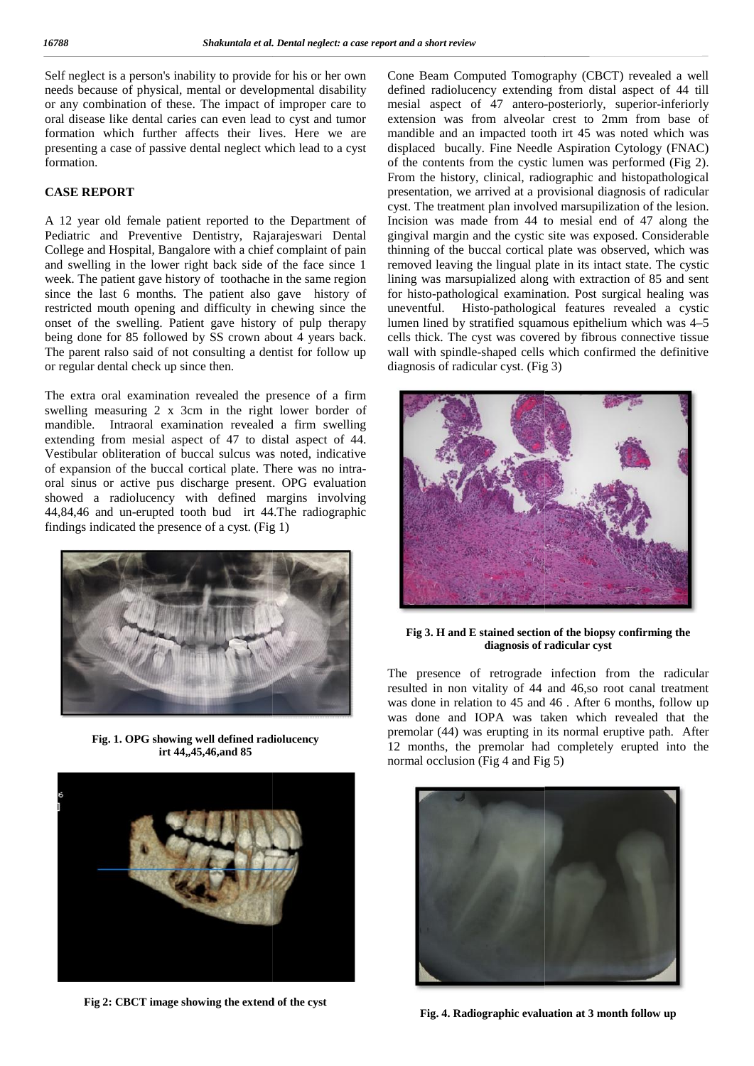Self neglect is a person's inability to provide for his or her own needs because of physical, mental or developmental disability or any combination of these. The impact of improper care to oral disease like dental caries can even lead to cyst and tumor formation which further affects their lives. Here we are presenting a case of passive dental neglect which lead to a cyst formation. Self neglect is a person's inability to provide for his or he<br>needs because of physical, mental or developmental disa<br>or any combination of these. The impact of improper c<br>oral disease like dental caries can even lead to c

#### **CASE REPORT CASE REPORT**

A 12 year old female patient reported to the Department of A 12 year old female patient reported to the Department of I<br>Pediatric and Preventive Dentistry, Rajarajeswari Dental g College and Hospital, Bangalore with a chief complaint of pain and swelling in the lower right back side of the face since 1 week. The patient gave history of toothache in the same region since the last 6 months. The patient also gave history of restricted mouth opening and difficulty in chewing since the onset of the swelling. Patient gave history of pulp therapy being done for 85 followed by SS crown about 4 years back. The parent ralso said of not consulting a dentist for follow up or regular dental check up since then.

The extra oral examination revealed the presence of a firm swelling measuring 2 x 3cm in the right lower border of mandible. Intraoral examination revealed a firm swelling extending from mesial aspect of 47 to distal aspect of 44. Vestibular obliteration of buccal sulcus was noted, indicative of expansion of the buccal cortical plate. There was no intra oral sinus or active pus discharge present. OPG evaluation showed a radiolucency with defined margins involving 44,84,46 and un-erupted tooth bud irt 44.The radiographic findings indicated the presence of a cyst. (Fig 1) College and Hospital, Bangalore with a chief complaint of j<br>and swelling in the lower right back side of the face sin<br>week. The patient gave history of toothache in the same reg<br>since the last 6 months. The patient also g



**Fig. 1. OPG showing well defined radiolucency irt 44,,45,46,and 85**



**Fig 2: CBCT image showing the extend of the cyst**

Cone Beam Computed Tomography (CBCT) revealed a well defined radiolucency extending from distal aspect of 44 till mesial aspect of 47 antero-posteriorly, superior-inferiorly extension was from alveolar crest to 2mm from base of mandible and an impacted tooth irt 45 was noted which was displaced bucally. Fine Needle Aspiration Cytology (FNAC) of the contents from the cystic lumen was performed (Fig 2). From the history, clinical, radiographic and histopathological presentation, we arrived at a provisional diagnosis of radicular cyst. The treatment plan involved marsupilization of the lesion. Incision was made from 44 to mesial end of 47 along the gingival margin and the cystic site was exposed. Considerable thinning of the buccal cortical plate was observed, which was removed leaving the lingual plate in its intact state. The cystic lining was marsupialized along with extraction of 85 and sent for histo-pathological examination. Post surgical healing was uneventful. Histo-pathological features revealed a cystic lumen lined by stratified squamous epithelium which was 4–5 cells thick. The cyst was covered by fibrous connective tissue wall with spindle-shaped cells which confirmed the definitive diagnosis of radicular cyst. (Fig 3) Section a particular provide for this orbit on the one Bonn Computed Tonography (CBC) revealed a well as the state of the state of the state of the state of the state of the state of the state of the state of the state of Sometimes of a Densi metric care report into the metric of roots Research Computed Torrography (CRCT) cases in a present of roots and a proportion of the care review of roots and a proportion of the care reviewed in the c



**Fig 3. H and E stained section of the biopsy confirming the diagnosis of radicular cyst diagnosis** 

The presence of retrograde infection from the radicular resulted in non vitality of 44 and 46,so root canal treatment was done in relation to 45 and 46 . After 6 months, follow up was done and IOPA was taken which revealed that the premolar (44) was erupting in its normal eruptive path. After 12 months, the premolar had completely erupted into the normal occlusion (Fig 4 and Fig 5)



**Fig. 4. Radiographic evaluation at 3 month follow up 3**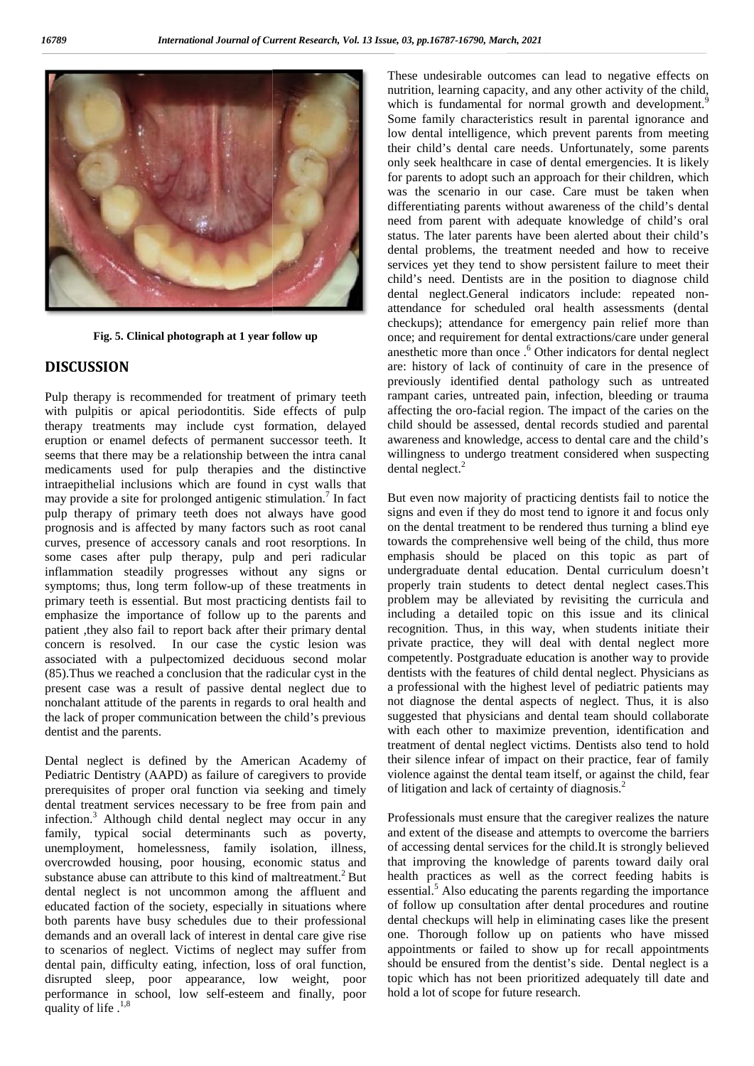

**Fig. 5. Clinical photograph at 1 year follow up**

## **DISCUSSION DISCUSSION**

Pulp therapy is recommended for treatment of primary teeth with pulpitis or apical periodontitis. Side effects of pulp affect therapy treatments may include cyst formation, delayed eruption or enamel defects of permanent successor teeth. It seems that there may be a relationship between the intra canal medicaments used for pulp therapies and the distinctive medicaments used for pulp therapies and the distinctive contraepithelial inclusions which are found in cyst walls that may provide a site for prolonged antigenic stimulation.<sup>7</sup> In fact  $\overline{\phantom{a}}$  I pulp therapy of primary teeth does not always have good pulp therapy of primary teeth does not always have good sprognosis and is affected by many factors such as root canal curves, presence of accessory canals and root resorptions. In some cases after pulp therapy, pulp and peri radicular inflammation steadily progresses without any signs or symptoms; thus, long term follow-up of these treatments in primary teeth is essential. But most practicing dentists fail to emphasize the importance of follow up to the parents and patient ,they also fail to report back after their primary dental concern is resolved. In our case the cystic lesion was associated with a pulpectomized deciduous second molar (85).Thus we reached a conclusion that the radicular cyst in the present case was a result of passive dental neglect due to nonchalant attitude of the parents in regards to oral health and the lack of proper communication between the child's previous sug dentist and the parents. Pulp therapy is recommended for treatment of primary teeth with pulpitis or apical periodontitis. Side effects of pulp atherapy treatments may include cyst formation, delayed ceruption or enamel defects of permanent succes curves, presence of accessory canals and root resorptions. In some cases after pulp therapy, pulp and peri radicular inflammation steadily progresses without any signs or symptoms; thus, long term follow up of these treatm

Dental neglect is defined by the American Academy of Pediatric Dentistry (AAPD) as failure of caregivers to provide viol prerequisites of proper oral function via seeking and timely dental treatment services necessary to be free from pain and infection.<sup>3</sup> Although child dental neglect may occur in any family, typical social determinants such as poverty, unemployment, homelessness, family isolation, illness, overcrowded housing, poor housing, economic status and substance abuse can attribute to this kind of maltreatment.<sup>2</sup> But dental neglect is not uncommon among the affluent and educated faction of the society, especially in situations where both parents have busy schedules due to their professional demands and an overall lack of interest in dental care give rise to scenarios of neglect. Victims of neglect may suffer from dental pain, difficulty eating, infection, loss of oral function, disrupted sleep, poor appearance, low weight, poor performance in school, low self-esteem and finally, poor quality of life .<sup>1,8</sup> dentist and the parents.<br>
Dental neglect is defined by the American Academy of<br>
Pediatric Dentistry (AAPD) as failure of caregivers to provide<br>
prerequisites of proper oral function via seeking and timely<br>
dental treatment unemployment, homelessness, family isolation, illness,<br>overcrowded housing, poor housing, economic status and<br>substance abuse can attribute to this kind of maltreatment.<sup>2</sup> But<br>dental neglect is not uncommon among the affl

These undesirable outcomes can lead to negative effects on nutrition, learning capacity, and any other activity of the child, which is fundamental for normal growth and development.<sup>9</sup> Some family characteristics result in parental ignorance and low dental intelligence, which prevent parents from meeting their child's dental care needs. Unfortunately, some parents only seek healthcare in case of dental emergencies. It is likely for parents to adopt such an approach for their children, which was the scenario in our case. Care must be taken when differentiating parents without awareness of the child's dental need from parent with adequate knowledge of child's oral status. The later parents have been alerted about their child's dental problems, the treatment needed and how to receive dental problems, the treatment needed and how to receive services yet they tend to show persistent failure to meet their child's need. Dentists are in the position to diagnose child dental neglect.General indicators include: repeated non attendance for scheduled oral health assessments (dental checkups); attendance for emergency pain relief more than once; and requirement for dental extractions/care under general anesthetic more than once .<sup>6</sup> Other indicators for dental neglect are: history of lack of continuity of care in the presence of previously identified dental pathology such as untreated rampant caries, untreated pain, infection, bleeding or trauma affecting the oro-facial region. The impact of the caries on the child should be assessed, dental records studied and parental awareness and knowledge, access to dental care and the child's willingness to undergo treatment considered when suspecting  $\frac{1}{2}$ dental neglect.<sup>2</sup> The control of the sleep space of the sleep since  $\alpha$  in the sleep since  $\alpha$  is the state of distribution in a state of each internet in the state of the state of the state of the state of the state of the state of the for a about such an approach for their children, which<br>enario in our case. Care must be taken when<br>mg parents without awareness of the child's dental<br>parent with adequate knowledge of child's oral<br>later parents have been a child's need. Dentists are in the position to diagnose child<br>dental neglect.General indicators include: repeated non-<br>attendance for scheduled oral health assessments (dental<br>checkups); attendance for emergency pain relief the<br>reduced interest in the interest in the interest in the interest strongly the strongly the interest of ensure the interest of an order against the interest of an order against the interest of an order against the inte

But even now majority of practicing dentists fail to notice the But even now majority of practicing dentists fail to notice the signs and even if they do most tend to ignore it and focus only on the dental treatment to be rendered thus turning a blind eye towards the comprehensive well being of the child, thus more emphasis should be placed on this topic as part of undergraduate dental education. Dental curriculum doesn't doesn'tproperly train students to detect dental neglect cases.This problem may be alleviated by revisiting the curricula and including a detailed topic on this issue and its clinical recognition. Thus, in this way, when students initiate their private practice, they will deal with dental neglect more competently. Postgraduate education is another way to provide properly train students to detect dental neglect cases. This<br>problem may be alleviated by revisiting the curricula and<br>including a detailed topic on this issue and its clinical<br>recognition. Thus, in this way, when students a professional with the highest level of pediatric patients may not diagnose the dental aspects of neglect. Thus, it is also suggested that physicians and dental team should collaborate with each other to maximize prevention, identification and treatment of dental neglect victims. Dentists also tend to hold their silence infear of impact on their practice, fear of family violence against the dental team itself, or against the child, fear of litigation and lack of certainty of diagnosis.<sup>2</sup> on the dental treatment to be rendered thus turning a blind eye<br>towards the comprehensive well being of the child, thus more<br>emphasis should be placed on this topic as part of spects of neglect. Thus, it is also<br>and dental team should collaborate<br>mize prevention, identification and<br>t victims. Dentists also tend to hold

Professionals must ensure that the caregiver realizes the nature and extent of the disease and attempts to overcome the barriers of accessing dental services for the child.It is strongly believed that improving the knowledge of parents toward daily oral health practices as well as the correct feeding habits is essential.<sup>5</sup> Also educating the parents regarding the importance of follow up consultation after dental procedures and routine dental checkups will help in eliminating cases like the present one. Thorough follow up on patients who have missed appointments or failed to show up for recall appointments should be ensured from the dentist's side. Dental neglect is a topic which has not been prioritized adequately till date and hold a lot of scope for future research.